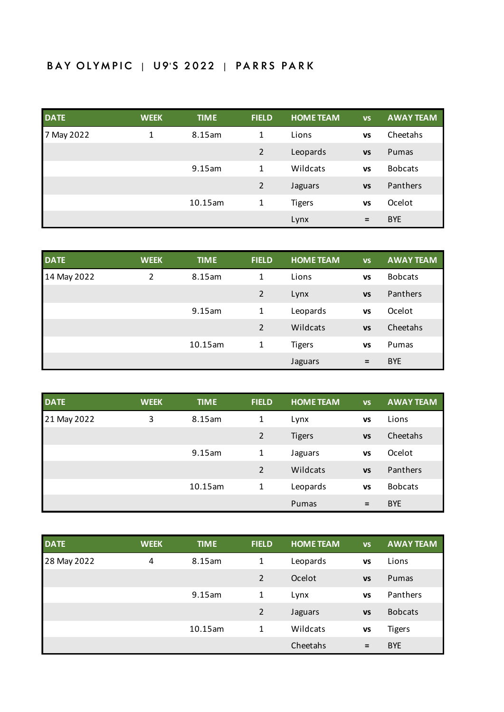## BAY OLYMPIC | U9'S 2022 | PARRS PARK

| <b>DATE</b> | <b>WEEK</b> | <b>TIME</b> | <b>FIELD</b>   | <b>HOME TEAM</b> | <b>VS</b> | <b>AWAY TEAM</b> |
|-------------|-------------|-------------|----------------|------------------|-----------|------------------|
| May 2022    | 1           | 8.15am      | $\mathbf{1}$   | Lions            | <b>VS</b> | Cheetahs         |
|             |             |             | $\overline{2}$ | Leopards         | <b>VS</b> | Pumas            |
|             |             | 9.15am      | $\mathbf{1}$   | Wildcats         | <b>VS</b> | <b>Bobcats</b>   |
|             |             |             | $\overline{2}$ | Jaguars          | <b>VS</b> | Panthers         |
|             |             | 10.15am     | 1              | <b>Tigers</b>    | <b>VS</b> | Ocelot           |
|             |             |             |                | Lynx             | $=$       | <b>BYE</b>       |

| <b>DATE</b> | <b>WEEK</b> | <b>TIME</b> | <b>FIELD</b>   | <b>HOME TEAM</b> | <b>VS</b> | <b>AWAY TEAM</b> |
|-------------|-------------|-------------|----------------|------------------|-----------|------------------|
| 14 May 2022 | 2           | 8.15am      | 1              | Lions            | <b>VS</b> | <b>Bobcats</b>   |
|             |             |             | 2              | Lynx             | <b>VS</b> | Panthers         |
|             |             | 9.15am      | 1              | Leopards         | <b>VS</b> | Ocelot           |
|             |             |             | $\overline{2}$ | Wildcats         | <b>VS</b> | Cheetahs         |
|             |             | 10.15am     | 1              | <b>Tigers</b>    | <b>VS</b> | Pumas            |
|             |             |             |                | Jaguars          | $=$       | <b>BYE</b>       |

| <b>DATE</b> | <b>WEEK</b> | <b>TIME</b> | <b>FIELD</b>   | <b>HOME TEAM</b> | <b>VS</b> | <b>AWAY TEAM</b> |
|-------------|-------------|-------------|----------------|------------------|-----------|------------------|
| 21 May 2022 | 3           | 8.15am      | 1              | Lynx             | <b>VS</b> | Lions            |
|             |             |             | $\overline{2}$ | <b>Tigers</b>    | <b>VS</b> | Cheetahs         |
|             |             | 9.15am      | 1              | Jaguars          | <b>VS</b> | Ocelot           |
|             |             |             | $\overline{2}$ | Wildcats         | <b>VS</b> | Panthers         |
|             |             | 10.15am     | 1              | Leopards         | <b>VS</b> | <b>Bobcats</b>   |
|             |             |             |                | Pumas            | Ξ         | <b>BYE</b>       |

| <b>DATE</b> | <b>WEEK</b> | <b>TIME</b> | <b>FIELD</b> | <b>HOME TEAM</b> | <b>VS</b> | <b>AWAY TEAM</b> |
|-------------|-------------|-------------|--------------|------------------|-----------|------------------|
| 28 May 2022 | 4           | 8.15am      | 1            | Leopards         | <b>VS</b> | Lions            |
|             |             |             | 2            | Ocelot           | <b>VS</b> | Pumas            |
|             |             | 9.15am      | 1            | Lynx             | <b>VS</b> | Panthers         |
|             |             |             | 2            | Jaguars          | <b>VS</b> | <b>Bobcats</b>   |
|             |             | 10.15am     | 1            | Wildcats         | <b>VS</b> | <b>Tigers</b>    |
|             |             |             |              | Cheetahs         | $=$       | <b>BYE</b>       |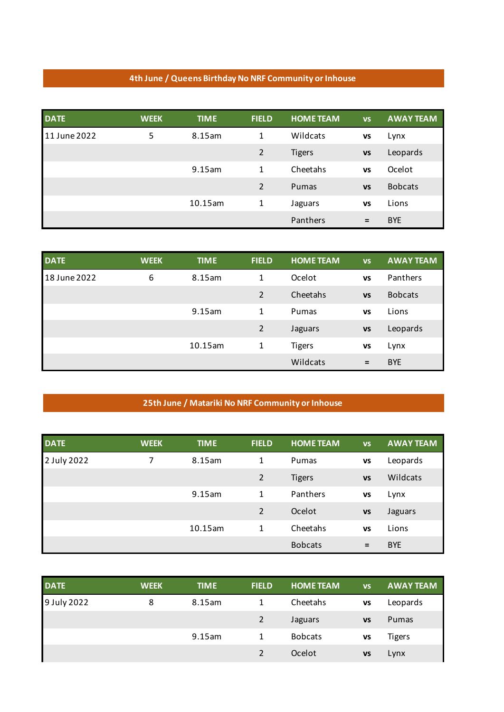## **4th June / Queens Birthday No NRF Community or Inhouse**

| <b>DATE</b>  | <b>WEEK</b> | <b>TIME</b> | <b>FIELD</b>   | <b>HOME TEAM</b> | <b>VS</b> | <b>AWAY TEAM</b> |
|--------------|-------------|-------------|----------------|------------------|-----------|------------------|
| 11 June 2022 | 5           | 8.15am      | 1              | Wildcats         | VS        | Lynx             |
|              |             |             | $\overline{2}$ | <b>Tigers</b>    | <b>VS</b> | Leopards         |
|              |             | 9.15am      | 1              | Cheetahs         | <b>VS</b> | Ocelot           |
|              |             |             | 2              | Pumas            | <b>VS</b> | <b>Bobcats</b>   |
|              |             | 10.15am     | 1              | Jaguars          | <b>VS</b> | Lions            |
|              |             |             |                | Panthers         | $=$       | <b>BYE</b>       |

| <b>DATE</b>  | <b>WEEK</b> | <b>TIME</b> | <b>FIELD</b> | <b>HOME TEAM</b> | <b>VS</b> | <b>AWAY TEAM</b> |
|--------------|-------------|-------------|--------------|------------------|-----------|------------------|
| 18 June 2022 | 6           | 8.15am      | 1            | Ocelot           | <b>VS</b> | Panthers         |
|              |             |             | 2            | Cheetahs         | <b>VS</b> | <b>Bobcats</b>   |
|              |             | 9.15am      | 1            | Pumas            | <b>VS</b> | Lions            |
|              |             |             | 2            | Jaguars          | <b>VS</b> | Leopards         |
|              |             | 10.15am     | 1            | <b>Tigers</b>    | <b>VS</b> | Lynx             |
|              |             |             |              | Wildcats         | $=$       | <b>BYE</b>       |

## **25th June / Matariki No NRF Community or Inhouse**

| <b>DATE</b> | <b>WEEK</b> | <b>TIME</b> | <b>FIELD</b>   | <b>HOME TEAM</b> | <b>VS</b> | <b>AWAY TEAM</b> |
|-------------|-------------|-------------|----------------|------------------|-----------|------------------|
| 2 July 2022 | 7           | 8.15am      | 1              | Pumas            | <b>VS</b> | Leopards         |
|             |             |             | $\overline{2}$ | <b>Tigers</b>    | <b>VS</b> | Wildcats         |
|             |             | 9.15am      | 1              | Panthers         | <b>VS</b> | Lynx             |
|             |             |             | 2              | Ocelot           | <b>VS</b> | Jaguars          |
|             |             | 10.15am     | 1              | Cheetahs         | <b>VS</b> | Lions            |
|             |             |             |                | <b>Bobcats</b>   | $=$       | <b>BYE</b>       |

| <b>DATE</b> | <b>WEEK</b> | <b>TIME</b> | <b>FIELD</b>   | <b>HOME TEAM</b> | <b>VS</b> | <b>AWAY TEAM</b> |
|-------------|-------------|-------------|----------------|------------------|-----------|------------------|
| 9 July 2022 | 8           | 8.15am      | $\mathbf{1}$   | Cheetahs         | <b>VS</b> | Leopards         |
|             |             |             | $\overline{2}$ | Jaguars          | <b>VS</b> | Pumas            |
|             |             | 9.15am      | $\mathbf{1}$   | <b>Bobcats</b>   | VS        | <b>Tigers</b>    |
|             |             |             |                | Ocelot           | VS        | Lynx             |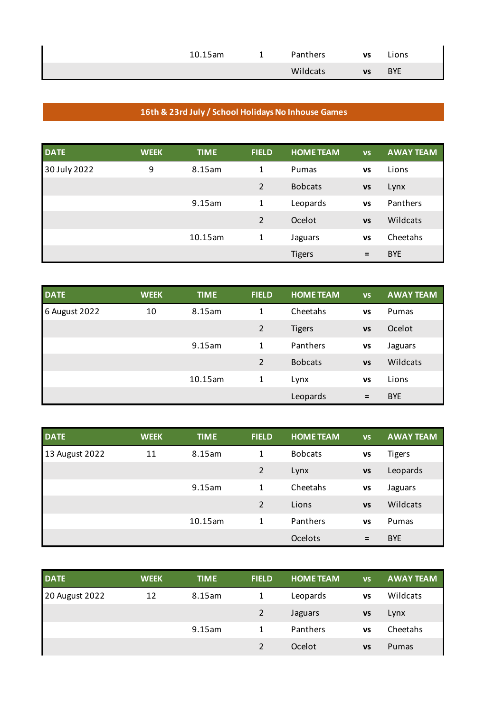| $10.15$ am | - | Panthers | <b>VS</b> | Lions      |
|------------|---|----------|-----------|------------|
|            |   | Wildcats | <b>VS</b> | <b>BYE</b> |

## **16th & 23rd July / School Holidays No Inhouse Games**

| <b>DATE</b>  | <b>WEEK</b> | <b>TIME</b> | <b>FIELD</b>   | <b>HOME TEAM</b> | <b>VS</b> | <b>AWAY TEAM</b> |
|--------------|-------------|-------------|----------------|------------------|-----------|------------------|
| 30 July 2022 | 9           | 8.15am      | $\mathbf{1}$   | Pumas            | <b>VS</b> | Lions            |
|              |             |             | $\overline{2}$ | <b>Bobcats</b>   | <b>VS</b> | Lynx             |
|              |             | 9.15am      | $\mathbf{1}$   | Leopards         | <b>VS</b> | Panthers         |
|              |             |             | $\mathcal{P}$  | Ocelot           | <b>VS</b> | Wildcats         |
|              |             | 10.15am     | 1              | Jaguars          | <b>VS</b> | Cheetahs         |
|              |             |             |                | <b>Tigers</b>    | $=$       | <b>BYE</b>       |

| <b>DATE</b>   | <b>WEEK</b> | <b>TIME</b> | <b>FIELD</b>   | <b>HOME TEAM</b> | <b>VS</b> | <b>AWAY TEAM</b> |
|---------------|-------------|-------------|----------------|------------------|-----------|------------------|
| 6 August 2022 | 10          | 8.15am      | 1              | Cheetahs         | VS        | Pumas            |
|               |             |             | $\overline{2}$ | <b>Tigers</b>    | <b>VS</b> | Ocelot           |
|               |             | 9.15am      | 1              | Panthers         | VS        | Jaguars          |
|               |             |             | 2              | <b>Bobcats</b>   | <b>VS</b> | Wildcats         |
|               |             | 10.15am     | 1              | Lynx             | VS        | Lions            |
|               |             |             |                | Leopards         | $=$       | <b>BYE</b>       |

| <b>DATE</b>    | <b>WEEK</b> | <b>TIME</b> | <b>FIELD</b>   | <b>HOME TEAM</b> | <b>VS</b> | <b>AWAY TEAM</b> |
|----------------|-------------|-------------|----------------|------------------|-----------|------------------|
| 13 August 2022 | 11          | 8.15am      | 1              | <b>Bobcats</b>   | <b>VS</b> | Tigers           |
|                |             |             | $\overline{2}$ | Lynx             | <b>VS</b> | Leopards         |
|                |             | 9.15am      | 1              | Cheetahs         | <b>VS</b> | Jaguars          |
|                |             |             | $\overline{2}$ | Lions            | <b>VS</b> | Wildcats         |
|                |             | 10.15am     | $\mathbf{1}$   | Panthers         | <b>VS</b> | Pumas            |
|                |             |             |                | Ocelots          | $=$       | <b>BYE</b>       |

| <b>DATE</b>    | <b>WEEK</b> | <b>TIME</b> | <b>FIELD</b>   | <b>HOME TEAM</b> | <b>VS</b> | <b>AWAY TEAM</b> |
|----------------|-------------|-------------|----------------|------------------|-----------|------------------|
| 20 August 2022 | 12          | 8.15am      |                | Leopards         | VS        | Wildcats         |
|                |             |             | $\overline{2}$ | Jaguars          | <b>VS</b> | Lynx             |
|                |             | 9.15am      | 1              | Panthers         | VS        | Cheetahs         |
|                |             |             | $\mathfrak{p}$ | Ocelot           | VS        | Pumas            |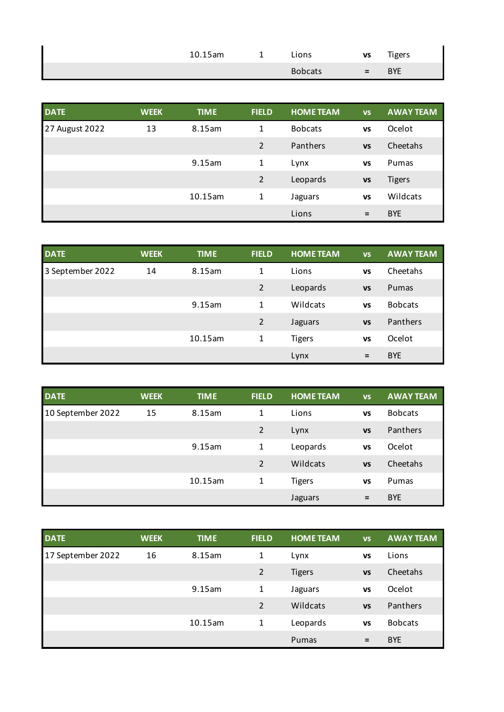| 10.15am | - | Lions          | VS  | Tigers     |
|---------|---|----------------|-----|------------|
|         |   | <b>Bobcats</b> | $=$ | <b>BYE</b> |

| <b>DATE</b>    | <b>WEEK</b> | <b>TIME</b> | <b>FIELD</b>   | <b>HOME TEAM</b> | <b>VS</b> | <b>AWAY TEAM</b> |
|----------------|-------------|-------------|----------------|------------------|-----------|------------------|
| 27 August 2022 | 13          | 8.15am      | $\mathbf{1}$   | <b>Bobcats</b>   | <b>VS</b> | Ocelot           |
|                |             |             | $\overline{2}$ | Panthers         | <b>VS</b> | Cheetahs         |
|                |             | 9.15am      | 1              | Lynx             | <b>VS</b> | Pumas            |
|                |             |             | $\overline{2}$ | Leopards         | <b>VS</b> | <b>Tigers</b>    |
|                |             | 10.15am     | 1              | Jaguars          | <b>VS</b> | Wildcats         |
|                |             |             |                | Lions            | $=$       | <b>BYE</b>       |

| <b>DATE</b>      | <b>WEEK</b> | <b>TIME</b> | <b>FIELD</b>   | <b>HOME TEAM</b> | <b>VS</b> | <b>AWAY TEAM</b> |
|------------------|-------------|-------------|----------------|------------------|-----------|------------------|
| 3 September 2022 | 14          | 8.15am      | 1              | Lions            | <b>VS</b> | Cheetahs         |
|                  |             |             | $\overline{2}$ | Leopards         | <b>VS</b> | Pumas            |
|                  |             | 9.15am      | 1              | Wildcats         | <b>VS</b> | <b>Bobcats</b>   |
|                  |             |             | $\overline{2}$ | Jaguars          | <b>VS</b> | Panthers         |
|                  |             | 10.15am     | 1              | <b>Tigers</b>    | <b>VS</b> | Ocelot           |
|                  |             |             |                | Lynx             | $=$       | <b>BYE</b>       |

| <b>DATE</b>       | <b>WEEK</b> | <b>TIME</b> | <b>FIELD</b>   | <b>HOME TEAM</b> | <b>VS</b> | <b>AWAY TEAM</b> |
|-------------------|-------------|-------------|----------------|------------------|-----------|------------------|
| 10 September 2022 | 15          | 8.15am      | 1              | Lions            | <b>VS</b> | <b>Bobcats</b>   |
|                   |             |             | $\overline{2}$ | Lynx             | <b>VS</b> | Panthers         |
|                   |             | 9.15am      | 1              | Leopards         | <b>VS</b> | Ocelot           |
|                   |             |             | $\overline{2}$ | Wildcats         | <b>VS</b> | Cheetahs         |
|                   |             | 10.15am     | 1              | <b>Tigers</b>    | <b>VS</b> | Pumas            |
|                   |             |             |                | Jaguars          | $=$       | <b>BYE</b>       |

| <b>DATE</b>       | <b>WEEK</b> | <b>TIME</b> | <b>FIELD</b>   | <b>HOME TEAM</b> | <b>VS</b> | <b>AWAY TEAM</b> |
|-------------------|-------------|-------------|----------------|------------------|-----------|------------------|
| 17 September 2022 | 16          | 8.15am      | 1              | Lynx             | <b>VS</b> | Lions            |
|                   |             |             | $\overline{2}$ | <b>Tigers</b>    | <b>VS</b> | Cheetahs         |
|                   |             | 9.15am      | 1              | Jaguars          | <b>VS</b> | Ocelot           |
|                   |             |             | 2              | Wildcats         | <b>VS</b> | Panthers         |
|                   |             | 10.15am     | 1              | Leopards         | <b>VS</b> | <b>Bobcats</b>   |
|                   |             |             |                | Pumas            | $=$       | <b>BYE</b>       |